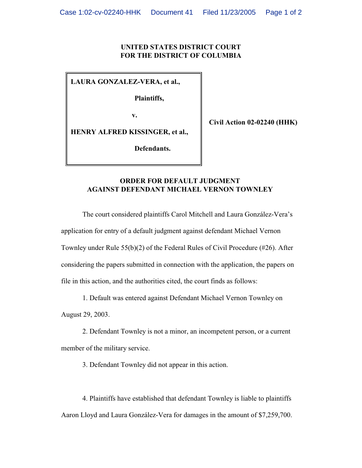## **UNITED STATES DISTRICT COURT FOR THE DISTRICT OF COLUMBIA**

**LAURA GONZALEZ-VERA, et al.,**

**Plaintiffs,**

 **v.**

**Civil Action 02-02240 (HHK)**

**HENRY ALFRED KISSINGER, et al.,**

**Defendants.**

## **ORDER FOR DEFAULT JUDGMENT AGAINST DEFENDANT MICHAEL VERNON TOWNLEY**

The court considered plaintiffs Carol Mitchell and Laura González-Vera's application for entry of a default judgment against defendant Michael Vernon Townley under Rule 55(b)(2) of the Federal Rules of Civil Procedure (#26). After considering the papers submitted in connection with the application, the papers on file in this action, and the authorities cited, the court finds as follows:

1. Default was entered against Defendant Michael Vernon Townley on

August 29, 2003.

2. Defendant Townley is not a minor, an incompetent person, or a current member of the military service.

3. Defendant Townley did not appear in this action.

4. Plaintiffs have established that defendant Townley is liable to plaintiffs Aaron Lloyd and Laura González-Vera for damages in the amount of \$7,259,700.